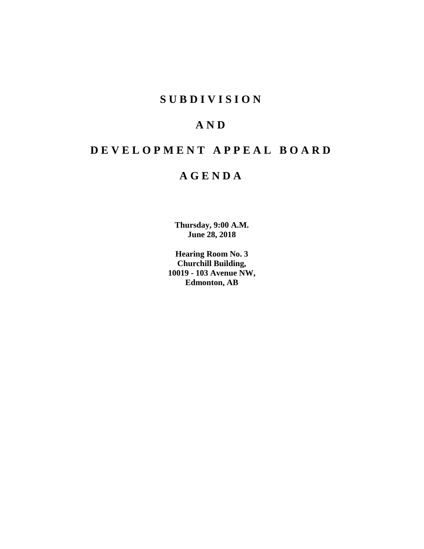# **SUBDIVISION**

# **AND**

# **DEVELOPMENT APPEAL BOARD**

# **AGENDA**

**Thursday, 9:00 A.M. June 28, 2018**

**Hearing Room No. 3 Churchill Building, 10019 - 103 Avenue NW, Edmonton, AB**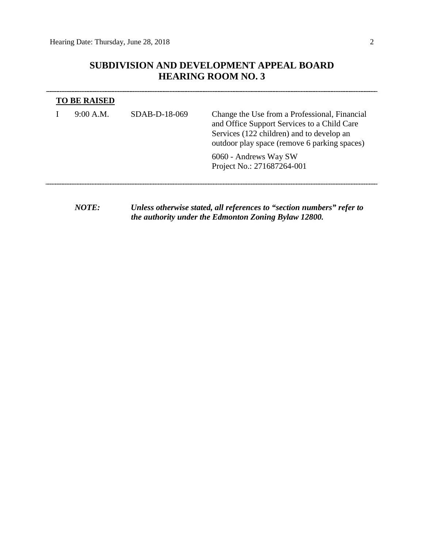$\overline{\phantom{a}}$ 

# **SUBDIVISION AND DEVELOPMENT APPEAL BOARD HEARING ROOM NO. 3**

| <b>TO BE RAISED</b> |                 |                                                                                                                                                                                           |  |  |  |  |  |
|---------------------|-----------------|-------------------------------------------------------------------------------------------------------------------------------------------------------------------------------------------|--|--|--|--|--|
| 9:00 A.M.           | $SDAB-D-18-069$ | Change the Use from a Professional, Financial<br>and Office Support Services to a Child Care<br>Services (122 children) and to develop an<br>outdoor play space (remove 6 parking spaces) |  |  |  |  |  |
|                     |                 | 6060 - Andrews Way SW<br>Project No.: 271687264-001                                                                                                                                       |  |  |  |  |  |
|                     |                 |                                                                                                                                                                                           |  |  |  |  |  |

*NOTE: Unless otherwise stated, all references to "section numbers" refer to the authority under the Edmonton Zoning Bylaw 12800.*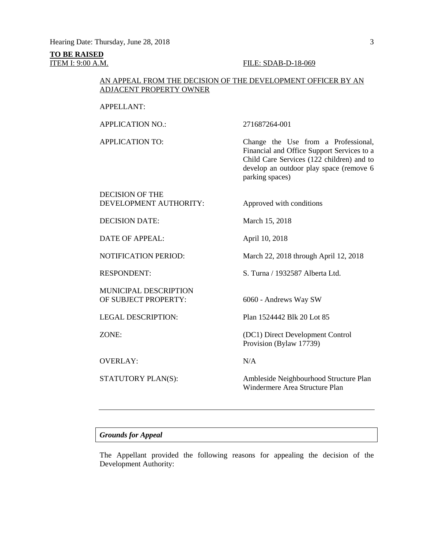# **TO BE RAISED**

#### **ITEM I: 9:00 A.M. FILE: SDAB-D-18-069**

## AN APPEAL FROM THE DECISION OF THE DEVELOPMENT OFFICER BY AN ADJACENT PROPERTY OWNER

## APPELLANT:

APPLICATION NO.: 271687264-001

APPLICATION TO: Change the Use from a Professional, Financial and Office Support Services to a Child Care Services (122 children) and to develop an outdoor play space (remove 6 parking spaces)

DECISION OF THE DEVELOPMENT AUTHORITY: Approved with conditions

DECISION DATE: March 15, 2018

DATE OF APPEAL: April 10, 2018

NOTIFICATION PERIOD: March 22, 2018 through April 12, 2018

RESPONDENT: S. Turna / 1932587 Alberta Ltd.

MUNICIPAL DESCRIPTION<br>OF SUBJECT PROPERTY:

OVERLAY: N/A

6060 - Andrews Way SW

LEGAL DESCRIPTION: Plan 1524442 Blk 20 Lot 85

ZONE: (DC1) Direct Development Control Provision (Bylaw 17739)

STATUTORY PLAN(S): Ambleside Neighbourhood Structure Plan Windermere Area Structure Plan

## *Grounds for Appeal*

The Appellant provided the following reasons for appealing the decision of the Development Authority: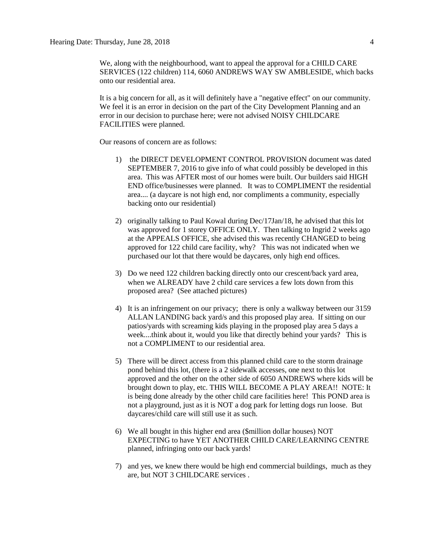We, along with the neighbourhood, want to appeal the approval for a CHILD CARE SERVICES (122 children) 114, 6060 ANDREWS WAY SW AMBLESIDE, which backs onto our residential area.

It is a big concern for all, as it will definitely have a "negative effect" on our community. We feel it is an error in decision on the part of the City Development Planning and an error in our decision to purchase here; were not advised NOISY CHILDCARE FACILITIES were planned.

Our reasons of concern are as follows:

- 1) the DIRECT DEVELOPMENT CONTROL PROVISION document was dated SEPTEMBER 7, 2016 to give info of what could possibly be developed in this area. This was AFTER most of our homes were built. Our builders said HIGH END office/businesses were planned. It was to COMPLIMENT the residential area.... (a daycare is not high end, nor compliments a community, especially backing onto our residential)
- 2) originally talking to Paul Kowal during Dec/17Jan/18, he advised that this lot was approved for 1 storey OFFICE ONLY. Then talking to Ingrid 2 weeks ago at the APPEALS OFFICE, she advised this was recently CHANGED to being approved for 122 child care facility, why? This was not indicated when we purchased our lot that there would be daycares, only high end offices.
- 3) Do we need 122 children backing directly onto our crescent/back yard area, when we ALREADY have 2 child care services a few lots down from this proposed area? (See attached pictures)
- 4) It is an infringement on our privacy; there is only a walkway between our 3159 ALLAN LANDING back yard/s and this proposed play area. If sitting on our patios/yards with screaming kids playing in the proposed play area 5 days a week....think about it, would you like that directly behind your yards? This is not a COMPLIMENT to our residential area.
- 5) There will be direct access from this planned child care to the storm drainage pond behind this lot, (there is a 2 sidewalk accesses, one next to this lot approved and the other on the other side of 6050 ANDREWS where kids will be brought down to play, etc. THIS WILL BECOME A PLAY AREA!! NOTE: It is being done already by the other child care facilities here! This POND area is not a playground, just as it is NOT a dog park for letting dogs run loose. But daycares/child care will still use it as such.
- 6) We all bought in this higher end area (\$million dollar houses) NOT EXPECTING to have YET ANOTHER CHILD CARE/LEARNING CENTRE planned, infringing onto our back yards!
- 7) and yes, we knew there would be high end commercial buildings, much as they are, but NOT 3 CHILDCARE services .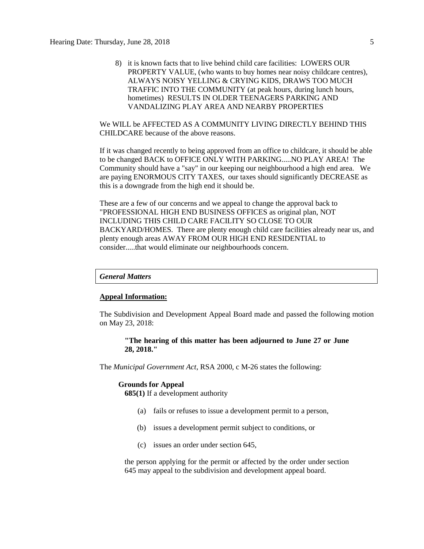8) it is known facts that to live behind child care facilities: LOWERS OUR PROPERTY VALUE, (who wants to buy homes near noisy childcare centres), ALWAYS NOISY YELLING & CRYING KIDS, DRAWS TOO MUCH TRAFFIC INTO THE COMMUNITY (at peak hours, during lunch hours, hometimes) RESULTS IN OLDER TEENAGERS PARKING AND VANDALIZING PLAY AREA AND NEARBY PROPERTIES

We WILL be AFFECTED AS A COMMUNITY LIVING DIRECTLY BEHIND THIS CHILDCARE because of the above reasons.

If it was changed recently to being approved from an office to childcare, it should be able to be changed BACK to OFFICE ONLY WITH PARKING.....NO PLAY AREA! The Community should have a "say" in our keeping our neighbourhood a high end area. We are paying ENORMOUS CITY TAXES, our taxes should significantly DECREASE as this is a downgrade from the high end it should be.

These are a few of our concerns and we appeal to change the approval back to "PROFESSIONAL HIGH END BUSINESS OFFICES as original plan, NOT INCLUDING THIS CHILD CARE FACILITY SO CLOSE TO OUR BACKYARD/HOMES. There are plenty enough child care facilities already near us, and plenty enough areas AWAY FROM OUR HIGH END RESIDENTIAL to consider.....that would eliminate our neighbourhoods concern.

## *General Matters*

### **Appeal Information:**

The Subdivision and Development Appeal Board made and passed the following motion on May 23, 2018:

### **"The hearing of this matter has been adjourned to June 27 or June 28, 2018."**

The *Municipal Government Act*, RSA 2000, c M-26 states the following:

#### **Grounds for Appeal**

**685(1)** If a development authority

- (a) fails or refuses to issue a development permit to a person,
- (b) issues a development permit subject to conditions, or
- (c) issues an order under section 645,

the person applying for the permit or affected by the order under section 645 may appeal to the subdivision and development appeal board.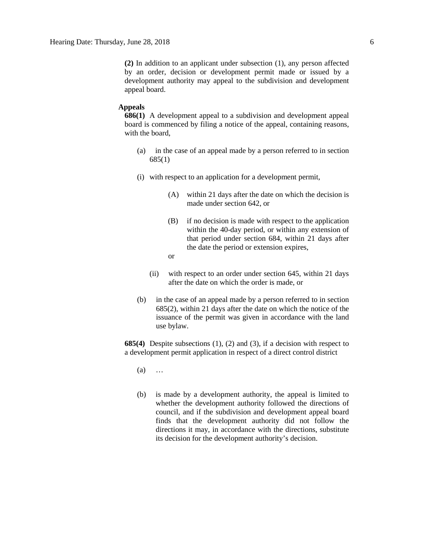**(2)** In addition to an applicant under subsection (1), any person affected by an order, decision or development permit made or issued by a development authority may appeal to the subdivision and development appeal board.

#### **Appeals**

**686(1)** A development appeal to a subdivision and development appeal board is commenced by filing a notice of the appeal, containing reasons, with the board,

- (a) in the case of an appeal made by a person referred to in section 685(1)
- (i) with respect to an application for a development permit,
	- (A) within 21 days after the date on which the decision is made under section 642, or
	- (B) if no decision is made with respect to the application within the 40-day period, or within any extension of that period under section 684, within 21 days after the date the period or extension expires,
	- or
	- (ii) with respect to an order under section 645, within 21 days after the date on which the order is made, or
- (b) in the case of an appeal made by a person referred to in section 685(2), within 21 days after the date on which the notice of the issuance of the permit was given in accordance with the land use bylaw.

**685(4)** Despite subsections (1), (2) and (3), if a decision with respect to a development permit application in respect of a direct control district

- (a) …
- (b) is made by a development authority, the appeal is limited to whether the development authority followed the directions of council, and if the subdivision and development appeal board finds that the development authority did not follow the directions it may, in accordance with the directions, substitute its decision for the development authority's decision.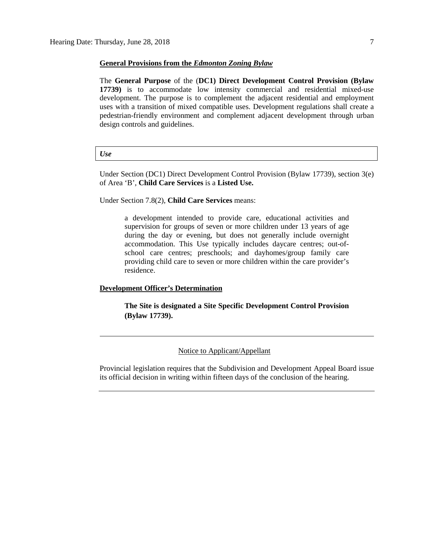#### **General Provisions from the** *Edmonton Zoning Bylaw*

The **General Purpose** of the (**DC1) Direct Development Control Provision (Bylaw 17739)** is to accommodate low intensity commercial and residential mixed-use development. The purpose is to complement the adjacent residential and employment uses with a transition of mixed compatible uses. Development regulations shall create a pedestrian-friendly environment and complement adjacent development through urban design controls and guidelines.

#### *Use*

Under Section (DC1) Direct Development Control Provision (Bylaw 17739), section 3(e) of Area 'B', **Child Care Services** is a **Listed Use.**

Under Section 7.8(2), **Child Care Services** means:

a development intended to provide care, educational activities and supervision for groups of seven or more children under 13 years of age during the day or evening, but does not generally include overnight accommodation. This Use typically includes daycare centres; out-ofschool care centres; preschools; and dayhomes/group family care providing child care to seven or more children within the care provider's residence.

#### **Development Officer's Determination**

**The Site is designated a Site Specific Development Control Provision (Bylaw 17739).**

## Notice to Applicant/Appellant

Provincial legislation requires that the Subdivision and Development Appeal Board issue its official decision in writing within fifteen days of the conclusion of the hearing.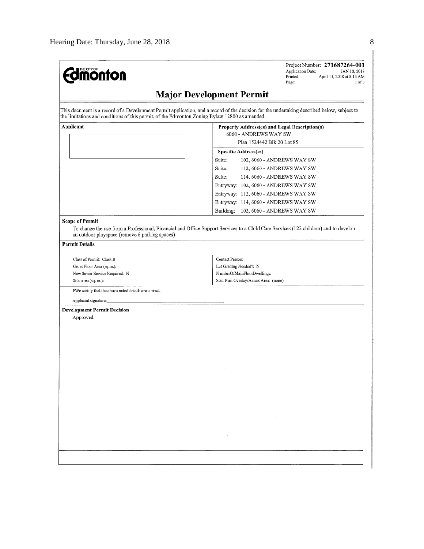| <b>Edmonton</b>                                                                               | Project Number: 271687264-001<br>Application Date:<br>JAN 10, 2018<br>Printed:<br>April 11, 2018 at 8:13 AM<br>$1$ of $3$<br>Page:          |
|-----------------------------------------------------------------------------------------------|---------------------------------------------------------------------------------------------------------------------------------------------|
|                                                                                               | <b>Major Development Permit</b>                                                                                                             |
| the limitations and conditions of this permit, of the Edmonton Zoning Bylaw 12800 as amended. | This document is a record of a Development Permit application, and a record of the decision for the undertaking described below, subject to |
| Applicant                                                                                     | Property Address(es) and Legal Description(s)<br>6060 - ANDREWS WAY SW                                                                      |
|                                                                                               | Plan 1524442 Blk 20 Lot 85                                                                                                                  |
|                                                                                               | Specific Address(es)                                                                                                                        |

|                                                                          | Specific Address(es)                                                                                                                |
|--------------------------------------------------------------------------|-------------------------------------------------------------------------------------------------------------------------------------|
|                                                                          | Suite:<br>102, 6060 - ANDREWS WAY SW                                                                                                |
|                                                                          | Suite:<br>112, 6060 - ANDREWS WAY SW                                                                                                |
|                                                                          | Suite:<br>114, 6060 - ANDREWS WAY SW                                                                                                |
|                                                                          | Entryway: 102, 6060 - ANDREWS WAY SW                                                                                                |
|                                                                          | Entryway: 112, 6060 - ANDREWS WAY SW                                                                                                |
|                                                                          | Entryway: 114, 6060 - ANDREWS WAY SW                                                                                                |
|                                                                          |                                                                                                                                     |
|                                                                          | Building: 102, 6060 - ANDREWS WAY SW                                                                                                |
| <b>Scope of Permit</b><br>an outdoor playspace (remove 6 parking spaces) | To change the use from a Professional, Financial and Office Support Services to a Child Care Services (122 children) and to develop |
| <b>Permit Details</b>                                                    |                                                                                                                                     |
| Class of Permit: Class B                                                 | Contact Person:                                                                                                                     |
| Gross Floor Area (sq.m.):                                                | Lot Grading Needed?: N                                                                                                              |
| New Sewer Service Required: N                                            | NumberOfMainFloorDwellings:                                                                                                         |
| Site Area (sq. m.):                                                      | Stat. Plan Overlay/Annex Area: (none)                                                                                               |
| I/We certify that the above noted details are correct.                   |                                                                                                                                     |
| Applicant signature:                                                     |                                                                                                                                     |
|                                                                          |                                                                                                                                     |
|                                                                          |                                                                                                                                     |
| Approved                                                                 |                                                                                                                                     |
|                                                                          |                                                                                                                                     |
|                                                                          |                                                                                                                                     |
|                                                                          |                                                                                                                                     |
|                                                                          |                                                                                                                                     |
|                                                                          |                                                                                                                                     |
|                                                                          |                                                                                                                                     |
|                                                                          |                                                                                                                                     |
|                                                                          |                                                                                                                                     |
|                                                                          |                                                                                                                                     |
|                                                                          |                                                                                                                                     |
|                                                                          |                                                                                                                                     |
|                                                                          |                                                                                                                                     |
|                                                                          |                                                                                                                                     |
|                                                                          |                                                                                                                                     |
| <b>Development Permit Decision</b>                                       |                                                                                                                                     |
|                                                                          |                                                                                                                                     |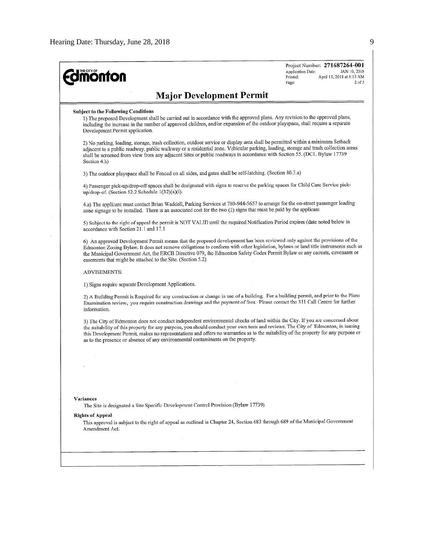$\hat{\mathcal{E}}$ 

| <b>monton</b>                                                                                                                                                                                                                                                                                                                                                                                                                                                                                 | Project Number: 271687264-001<br>Application Date:<br>JAN 10, 2018<br>Printed:<br>April 11, 2018 at 8:13 AM<br>$2$ of $3$<br>Page:                                                                                                                                                                                                                                                              |  |  |  |  |  |
|-----------------------------------------------------------------------------------------------------------------------------------------------------------------------------------------------------------------------------------------------------------------------------------------------------------------------------------------------------------------------------------------------------------------------------------------------------------------------------------------------|-------------------------------------------------------------------------------------------------------------------------------------------------------------------------------------------------------------------------------------------------------------------------------------------------------------------------------------------------------------------------------------------------|--|--|--|--|--|
| <b>Major Development Permit</b>                                                                                                                                                                                                                                                                                                                                                                                                                                                               |                                                                                                                                                                                                                                                                                                                                                                                                 |  |  |  |  |  |
| <b>Subject to the Following Conditions</b><br>1) The proposed Development shall be carried out in accordance with the approved plans. Any revision to the approved plans,<br>including the increase in the number of approved children, and/or expansion of the outdoor playspace, shall require a separate<br>Development Permit application.                                                                                                                                                |                                                                                                                                                                                                                                                                                                                                                                                                 |  |  |  |  |  |
| Section 4.h)                                                                                                                                                                                                                                                                                                                                                                                                                                                                                  | 2) No parking, loading, storage, trash collection, outdoor service or display area shall be permitted within a minimum Setback<br>adjacent to a public roadway, public walkway or a residential zone. Vehicular parking, loading, storage and trash collection areas<br>shall be screened from view from any adjacent Sites or public roadways in accordance with Section 55. (DC1. Bylaw 17739 |  |  |  |  |  |
| 3) The outdoor playspace shall be Fenced on all sides, and gates shall be self-latching. (Section 80.3.a)                                                                                                                                                                                                                                                                                                                                                                                     |                                                                                                                                                                                                                                                                                                                                                                                                 |  |  |  |  |  |
| 4) Passenger pick-up/drop-off spaces shall be designated with signs to reserve the parking spaces for Child Care Service pick-<br>up/drop-of. (Section 52.2 Schedule 1(32)(a)(i).                                                                                                                                                                                                                                                                                                             |                                                                                                                                                                                                                                                                                                                                                                                                 |  |  |  |  |  |
|                                                                                                                                                                                                                                                                                                                                                                                                                                                                                               | 4.a) The applicant must contact Brian Waddell, Parking Services at 780-944-5657 to arrange for the on-street passenger loading<br>zone signage to be installed. There is an associated cost for the two (2) signs that must be paid by the applicant                                                                                                                                            |  |  |  |  |  |
| 5) Subject to the right of appeal the permit is NOT VALID until the required Notification Period expires (date noted below in<br>accordance with Section 21.1 and 17.1                                                                                                                                                                                                                                                                                                                        |                                                                                                                                                                                                                                                                                                                                                                                                 |  |  |  |  |  |
| 6) An approved Development Permit means that the proposed development has been reviewed only against the provisions of the<br>Edmonton Zoning Bylaw. It does not remove obligations to conform with other legislation, bylaws or land title instruments such as<br>the Municipal Government Act, the ERCB Directive 079, the Edmonton Safety Codes Permit Bylaw or any caveats, covenants or<br>easements that might be attached to the Site. (Section 5.2)                                   |                                                                                                                                                                                                                                                                                                                                                                                                 |  |  |  |  |  |
| ADVISEMENTS:                                                                                                                                                                                                                                                                                                                                                                                                                                                                                  |                                                                                                                                                                                                                                                                                                                                                                                                 |  |  |  |  |  |
| 1) Signs require separate Development Applications.                                                                                                                                                                                                                                                                                                                                                                                                                                           |                                                                                                                                                                                                                                                                                                                                                                                                 |  |  |  |  |  |
| 2) A Building Permit is Required for any construction or change in use of a building. For a building permit, and prior to the Plans<br>Examination review, you require construction drawings and the payment of fees. Please contact the 311 Call Centre for further<br>information.                                                                                                                                                                                                          |                                                                                                                                                                                                                                                                                                                                                                                                 |  |  |  |  |  |
| 3) The City of Edmonton does not conduct independent environmental checks of land within the City. If you are concerned about<br>the suitability of this property for any purpose, you should conduct your own tests and reviews. The City of Edmonton, in issuing<br>this Development Permit, makes no representations and offers no warranties as to the suitability of the property for any purpose or<br>as to the presence or absence of any environmental contaminants on the property. |                                                                                                                                                                                                                                                                                                                                                                                                 |  |  |  |  |  |
|                                                                                                                                                                                                                                                                                                                                                                                                                                                                                               |                                                                                                                                                                                                                                                                                                                                                                                                 |  |  |  |  |  |
|                                                                                                                                                                                                                                                                                                                                                                                                                                                                                               |                                                                                                                                                                                                                                                                                                                                                                                                 |  |  |  |  |  |
|                                                                                                                                                                                                                                                                                                                                                                                                                                                                                               |                                                                                                                                                                                                                                                                                                                                                                                                 |  |  |  |  |  |
|                                                                                                                                                                                                                                                                                                                                                                                                                                                                                               |                                                                                                                                                                                                                                                                                                                                                                                                 |  |  |  |  |  |
| Variances<br>The Site is designated a Site Specific Development Control Provision (Bylaw 17739)                                                                                                                                                                                                                                                                                                                                                                                               |                                                                                                                                                                                                                                                                                                                                                                                                 |  |  |  |  |  |
| <b>Rights of Appeal</b><br>This approval is subject to the right of appeal as outlined in Chapter 24, Section 683 through 689 of the Municipal Government<br>Amendment Act.                                                                                                                                                                                                                                                                                                                   |                                                                                                                                                                                                                                                                                                                                                                                                 |  |  |  |  |  |
|                                                                                                                                                                                                                                                                                                                                                                                                                                                                                               |                                                                                                                                                                                                                                                                                                                                                                                                 |  |  |  |  |  |
|                                                                                                                                                                                                                                                                                                                                                                                                                                                                                               |                                                                                                                                                                                                                                                                                                                                                                                                 |  |  |  |  |  |
|                                                                                                                                                                                                                                                                                                                                                                                                                                                                                               |                                                                                                                                                                                                                                                                                                                                                                                                 |  |  |  |  |  |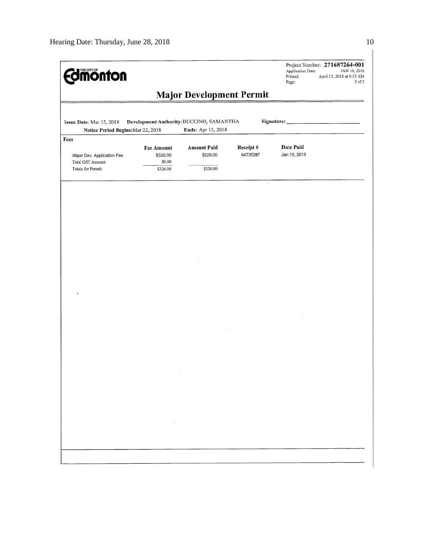| <b>Imonton</b>                                                                                                                                 |                                                     |                                            |                      | Application Date:<br>Printed:<br>Page: | Project Number: 271687264-001<br>JAN 10, 2018<br>April 11, 2018 at 8:13 AM<br>3 of 3 |  |  |  |  |
|------------------------------------------------------------------------------------------------------------------------------------------------|-----------------------------------------------------|--------------------------------------------|----------------------|----------------------------------------|--------------------------------------------------------------------------------------|--|--|--|--|
|                                                                                                                                                |                                                     | <b>Major Development Permit</b>            |                      |                                        |                                                                                      |  |  |  |  |
| Development Authority: BUCCINO, SAMANTHA<br>Signature:<br>Issue Date: Mar 15, 2018<br>Ends: Apr 12, 2018<br>Notice Period Begins: Mar 22, 2018 |                                                     |                                            |                      |                                        |                                                                                      |  |  |  |  |
| Fees<br>Major Dev. Application Fee<br>Total GST Amount:<br>Totals for Permit:                                                                  | <b>Fee Amount</b><br>\$326.00<br>\$0.00<br>\$326.00 | <b>Amount Paid</b><br>\$326.00<br>\$326.00 | Receipt#<br>04735287 | Date Paid<br>Jan 10, 2018              |                                                                                      |  |  |  |  |
|                                                                                                                                                |                                                     |                                            |                      |                                        |                                                                                      |  |  |  |  |
|                                                                                                                                                |                                                     |                                            |                      |                                        |                                                                                      |  |  |  |  |
|                                                                                                                                                |                                                     |                                            |                      |                                        |                                                                                      |  |  |  |  |
|                                                                                                                                                |                                                     |                                            |                      |                                        |                                                                                      |  |  |  |  |
|                                                                                                                                                |                                                     |                                            |                      |                                        |                                                                                      |  |  |  |  |
|                                                                                                                                                |                                                     |                                            |                      |                                        |                                                                                      |  |  |  |  |
|                                                                                                                                                |                                                     |                                            |                      |                                        |                                                                                      |  |  |  |  |
|                                                                                                                                                |                                                     |                                            |                      |                                        |                                                                                      |  |  |  |  |
|                                                                                                                                                |                                                     |                                            |                      |                                        |                                                                                      |  |  |  |  |
|                                                                                                                                                |                                                     |                                            |                      |                                        |                                                                                      |  |  |  |  |
|                                                                                                                                                |                                                     |                                            |                      |                                        |                                                                                      |  |  |  |  |